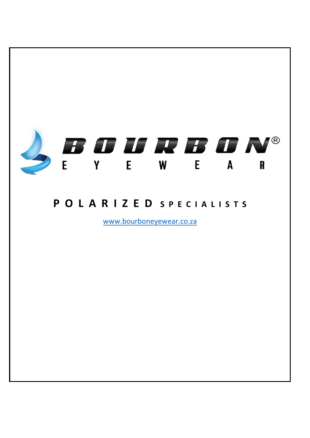

# POLARIZED SPECIALISTS

www.bourboneyewear.co.za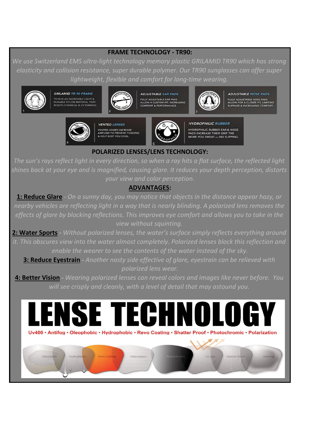## **FRAME TECHNOLOGY - TR90:**

*We use Switzerland EMS ultra-light technology memory plastic GRILAMID TR90 which has strong elasticity and collision resistance, super durable polymer. Our TR90 sunglasses can offer super lightweight, flexible and comfort for long-time wearing.*



**GRILAMID TR-90 FRAME** TR-90 IS AN INCREDIBLY LIGHT &<br>DURABLE NYLON MATERIAL THAT<br>RESISTS CHEMICAL & UV DAMAG



**ADJUSTABLE EAR PADS** FULLY ADJUSTABLE EAR PADS<br>ALLOW A CUSTOM FIT, INCREASING<br>COMFORT & PERFORMANCE.



**ADJUSTABLE NOSE PADS FULLY ADJUSTABLE NOSE PADS<br>ALLOW FOR A CLOSER FIT, LIMITING<br>SLIPPAGE & INCREASING COMFORT.** 



**VENTED LENSES VENTED LENSES INCREASE**<br>AIRFLOW TO PREVENT FOG **YOU COOL** 



**HYDROPHILIC RUBBER** HYDROPHILIC RUBBER EAR & NOSE<br>PADS INCREASE THEIR GRIP THE MORE YOU SWEAT - NO SLIPPING.

## **POLARIZED LENSES/LENS TECHNOLOGY:**

*The sun's rays reflect light in every direction, so when a ray hits a flat surface, the reflected light shines back at your eye and is magnified, causing glare. It reduces your depth perception, distorts your view and color perception.* 

### **ADVANTAGES:**

**1: Reduce Glare** - *On a sunny day, you may notice that objects in the distance appear hazy, or nearby vehicles are reflecting light in a way that is nearly blinding. A polarized lens removes the effects of glare by blocking reflections. This improves eye comfort and allows you to take in the view without squinting.* 

**2: Water Sports -** *Without polarized lenses, the water's surface simply reflects everything around it. This obscures view into the water almost completely. Polarized lenses block this reflection and enable the wearer to see the contents of the water instead of the sky.* 

**3: Reduce Eyestrain -** *Another nasty side effective of glare, eyestrain can be relieved with polarized lens wear.* 

**4: Better Vision -** *Wearing polarized lenses can reveal colors and images like never before. You will see crisply and cleanly, with a level of detail that may astound you.*

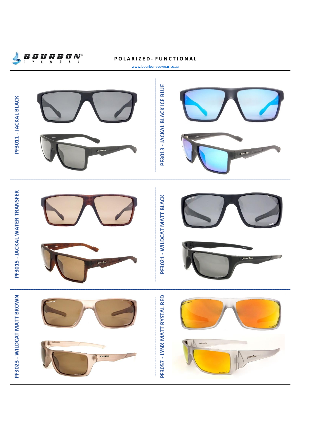

#### **P O L A R I Z E D - F U N C T I O N A L**



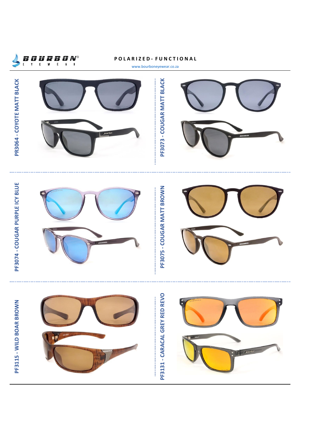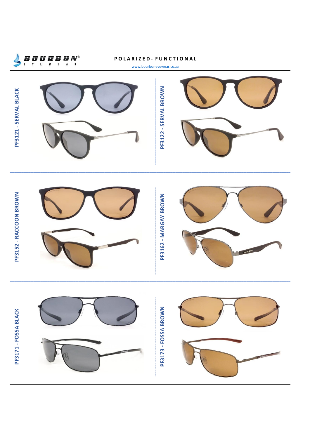